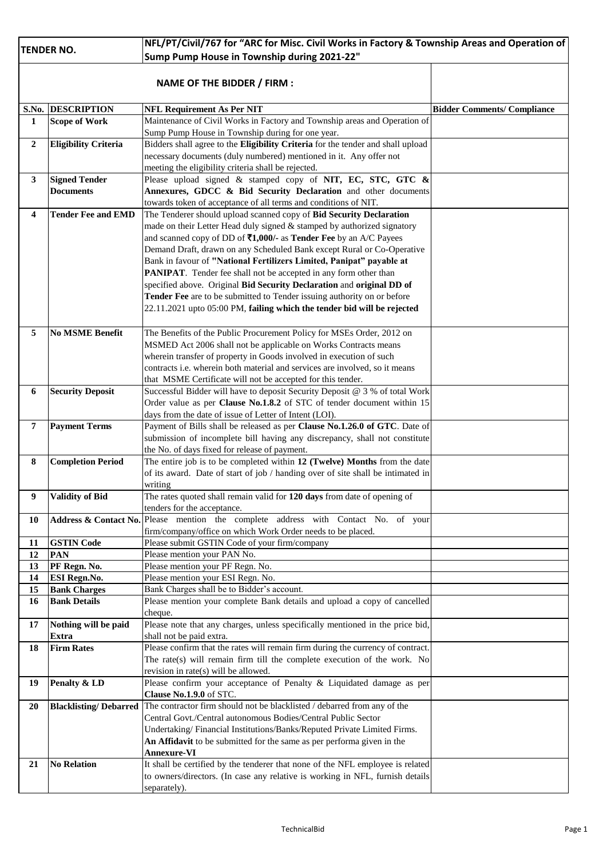| <b>TENDER NO.</b> |                             | NFL/PT/Civil/767 for "ARC for Misc. Civil Works in Factory & Township Areas and Operation of   |                                    |  |
|-------------------|-----------------------------|------------------------------------------------------------------------------------------------|------------------------------------|--|
|                   |                             | Sump Pump House in Township during 2021-22"                                                    |                                    |  |
|                   |                             | <b>NAME OF THE BIDDER / FIRM:</b>                                                              |                                    |  |
| S.No.             | <b>DESCRIPTION</b>          | <b>NFL Requirement As Per NIT</b>                                                              | <b>Bidder Comments/ Compliance</b> |  |
| 1                 | <b>Scope of Work</b>        | Maintenance of Civil Works in Factory and Township areas and Operation of                      |                                    |  |
|                   |                             | Sump Pump House in Township during for one year.                                               |                                    |  |
| $\overline{2}$    | <b>Eligibility Criteria</b> | Bidders shall agree to the Eligibility Criteria for the tender and shall upload                |                                    |  |
|                   |                             | necessary documents (duly numbered) mentioned in it. Any offer not                             |                                    |  |
|                   |                             | meeting the eligibility criteria shall be rejected.                                            |                                    |  |
| 3                 | <b>Signed Tender</b>        | Please upload signed & stamped copy of NIT, EC, STC, GTC &                                     |                                    |  |
|                   | <b>Documents</b>            | Annexures, GDCC & Bid Security Declaration and other documents                                 |                                    |  |
|                   |                             | towards token of acceptance of all terms and conditions of NIT.                                |                                    |  |
| 4                 | <b>Tender Fee and EMD</b>   | The Tenderer should upload scanned copy of Bid Security Declaration                            |                                    |  |
|                   |                             | made on their Letter Head duly signed & stamped by authorized signatory                        |                                    |  |
|                   |                             | and scanned copy of DD of ₹1,000/- as Tender Fee by an A/C Payees                              |                                    |  |
|                   |                             |                                                                                                |                                    |  |
|                   |                             | Demand Draft, drawn on any Scheduled Bank except Rural or Co-Operative                         |                                    |  |
|                   |                             | Bank in favour of "National Fertilizers Limited, Panipat" payable at                           |                                    |  |
|                   |                             | PANIPAT. Tender fee shall not be accepted in any form other than                               |                                    |  |
|                   |                             | specified above. Original Bid Security Declaration and original DD of                          |                                    |  |
|                   |                             | Tender Fee are to be submitted to Tender issuing authority on or before                        |                                    |  |
|                   |                             | 22.11.2021 upto 05:00 PM, failing which the tender bid will be rejected                        |                                    |  |
|                   |                             |                                                                                                |                                    |  |
| 5                 | <b>No MSME Benefit</b>      | The Benefits of the Public Procurement Policy for MSEs Order, 2012 on                          |                                    |  |
|                   |                             | MSMED Act 2006 shall not be applicable on Works Contracts means                                |                                    |  |
|                   |                             | wherein transfer of property in Goods involved in execution of such                            |                                    |  |
|                   |                             | contracts i.e. wherein both material and services are involved, so it means                    |                                    |  |
|                   |                             | that MSME Certificate will not be accepted for this tender.                                    |                                    |  |
| 6                 | <b>Security Deposit</b>     | Successful Bidder will have to deposit Security Deposit @ 3 % of total Work                    |                                    |  |
|                   |                             | Order value as per Clause No.1.8.2 of STC of tender document within 15                         |                                    |  |
|                   |                             | days from the date of issue of Letter of Intent (LOI).                                         |                                    |  |
| $\overline{7}$    | <b>Payment Terms</b>        | Payment of Bills shall be released as per Clause No.1.26.0 of GTC. Date of                     |                                    |  |
|                   |                             | submission of incomplete bill having any discrepancy, shall not constitute                     |                                    |  |
|                   |                             | the No. of days fixed for release of payment.                                                  |                                    |  |
| 8                 | <b>Completion Period</b>    | The entire job is to be completed within 12 (Twelve) Months from the date                      |                                    |  |
|                   |                             | of its award. Date of start of job / handing over of site shall be intimated in                |                                    |  |
|                   |                             | writing                                                                                        |                                    |  |
|                   | Validity of Bid             | The rates quoted shall remain valid for 120 days from date of opening of                       |                                    |  |
| 9.                |                             |                                                                                                |                                    |  |
|                   |                             | tenders for the acceptance.                                                                    |                                    |  |
| 10                |                             | Address & Contact No. Please mention the complete address with Contact No. of your             |                                    |  |
|                   |                             | firm/company/office on which Work Order needs to be placed.                                    |                                    |  |
| 11                | <b>GSTIN Code</b>           | Please submit GSTIN Code of your firm/company                                                  |                                    |  |
| 12                | PAN                         | Please mention your PAN No.                                                                    |                                    |  |
| 13                | PF Regn. No.                | Please mention your PF Regn. No.                                                               |                                    |  |
| 14                | ESI Regn.No.                | Please mention your ESI Regn. No.                                                              |                                    |  |
| 15                | <b>Bank Charges</b>         | Bank Charges shall be to Bidder's account.                                                     |                                    |  |
| 16                | <b>Bank Details</b>         | Please mention your complete Bank details and upload a copy of cancelled                       |                                    |  |
|                   |                             | cheque.                                                                                        |                                    |  |
| 17                | Nothing will be paid        | Please note that any charges, unless specifically mentioned in the price bid,                  |                                    |  |
|                   | Extra                       | shall not be paid extra.                                                                       |                                    |  |
| 18                | <b>Firm Rates</b>           | Please confirm that the rates will remain firm during the currency of contract.                |                                    |  |
|                   |                             | The rate(s) will remain firm till the complete execution of the work. No                       |                                    |  |
|                   |                             | revision in rate(s) will be allowed.                                                           |                                    |  |
| 19                | Penalty & LD                | Please confirm your acceptance of Penalty & Liquidated damage as per                           |                                    |  |
|                   |                             | Clause No.1.9.0 of STC.                                                                        |                                    |  |
| 20                |                             | Blacklisting/Debarred The contractor firm should not be blacklisted / debarred from any of the |                                    |  |
|                   |                             | Central Govt./Central autonomous Bodies/Central Public Sector                                  |                                    |  |
|                   |                             | Undertaking/Financial Institutions/Banks/Reputed Private Limited Firms.                        |                                    |  |
|                   |                             | An Affidavit to be submitted for the same as per performa given in the                         |                                    |  |
|                   |                             | <b>Annexure-VI</b>                                                                             |                                    |  |
| 21                | <b>No Relation</b>          | It shall be certified by the tenderer that none of the NFL employee is related                 |                                    |  |
|                   |                             | to owners/directors. (In case any relative is working in NFL, furnish details                  |                                    |  |
|                   |                             | separately).                                                                                   |                                    |  |